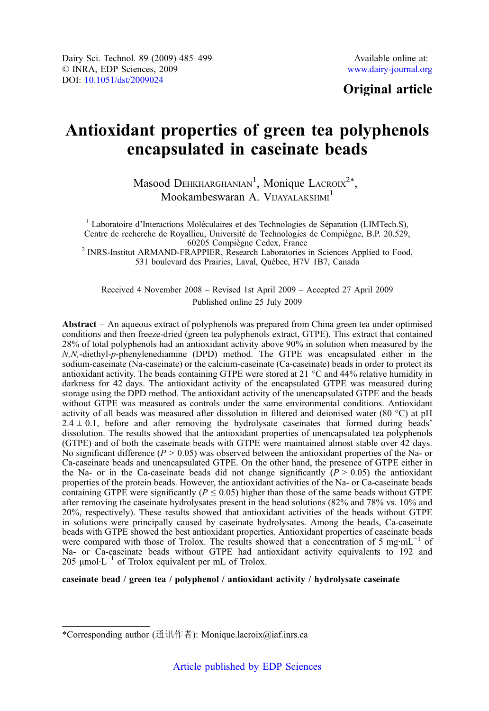## Original article

# Antioxidant properties of green tea polyphenols encapsulated in caseinate beads

Masood DEHKHARGHANIAN<sup>1</sup>, Monique LACROIX<sup>2\*</sup>, Mookambeswaran A. VIJAYALAKSHMI<sup>1</sup>

<sup>1</sup> Laboratoire d'Interactions Moléculaires et des Technologies de Séparation (LIMTech.S), Centre de recherche de Royallieu, Université de Technologies de Compiègne, B.P. 20.529,<br>60205 Compiègne Cedex, France <sup>2</sup> INRS-Institut ARMAND-FRAPPIER, Research Laboratories in Sciences Applied to Food,

531 boulevard des Prairies, Laval, Québec, H7V 1B7, Canada

Received 4 November 2008 – Revised 1st April 2009 – Accepted 27 April 2009 Published online 25 July 2009

Abstract – An aqueous extract of polyphenols was prepared from China green tea under optimised conditions and then freeze-dried (green tea polyphenols extract, GTPE). This extract that contained 28% of total polyphenols had an antioxidant activity above 90% in solution when measured by the N.N.-diethyl-p-phenylenediamine (DPD) method. The GTPE was encapsulated either in the N,N,-diethyl-p-phenylenediamine (DPD) method. The GTPE was encapsulated either in the sodium-caseinate (Na-caseinate) or the calcium-caseinate (Ca-caseinate) beads in order to protect its antioxidant activity. The beads containing GTPE were stored at 21 °C and 44% relative humidity in darkness for 42 days. The antioxidant activity of the encapsulated GTPE was measured during storage using the DPD method. The antioxidant activity of the unencapsulated GTPE and the beads without GTPE was measured as controls under the same environmental conditions. Antioxidant activity of all beads was measured after dissolution in filtered and deionised water (80 °C) at pH  $2.4 \pm 0.1$ , before and after removing the hydrolysate caseinates that formed during beads' dissolution. The results showed that the antioxidant properties of unencapsulated tea polyphenols (GTPE) and of both the caseinate beads with GTPE were maintained almost stable over 42 days. No significant difference ( $P > 0.05$ ) was observed between the antioxidant properties of the Na- or Ca-caseinate beads and unencapsulated GTPE. On the other hand, the presence of GTPE either in the Na- or in the Ca-caseinate beads did not change significantly  $(P > 0.05)$  the antioxidant properties of the protein beads. However, the antioxidant activities of the Na- or Ca-caseinate beads containing GTPE were significantly ( $P \le 0.05$ ) higher than those of the same beads without GTPE after removing the caseinate hydrolysates present in the bead solutions (82% and 78% vs. 10% and 20%, respectively). These results showed that antioxidant activities of the beads without GTPE in solutions were principally caused by caseinate hydrolysates. Among the beads, Ca-caseinate beads with GTPE showed the best antioxidant properties. Antioxidant properties of caseinate beads were compared with those of Trolox. The results showed that a concentration of 5 mg·mL<sup>-1</sup> of Na- or Ca-caseinate beads without GTPE had antioxidant activity equivalents to 192 and 205  $\mu$ mol·L<sup>-1</sup> of Trolox equivalent per mL of Trolox.

#### caseinate bead / green tea / polyphenol / antioxidant activity / hydrolysate caseinate

<sup>\*</sup>Corresponding author (通讯作者): Monique.lacroix@iaf.inrs.ca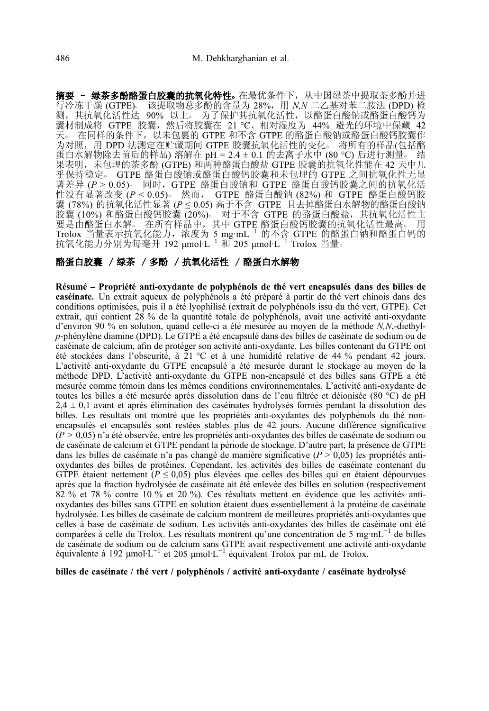**摘要 - 绿茶多酚酪蛋白胶囊的抗氧化特性。**在最优条件下,从中国绿茶中提取茶多酚并进<br>行冷冻干燥 (GTPE)。 该提取物总多酚的含量为 28%,用 *N.N* 二乙基对苯二胺法 (DPD) 检 行冷冻干燥 (GTPE)。 该提取物总多酚的含量为 28%,用 *N,N 二*乙基对苯二胺法 (DPD) 检<br>测,其抗氧化活性达 90% 以上。 为了保护其抗氧化活性,以酪蛋白酸钠或酪蛋白酸钙为 囊材制成将 GTPE 胶囊,然后将胶囊在 21 °C、相对湿度为 44% 避光的环境中保藏 42 天。 在同样的条件下, 以未包裹的 GTPE 和不含 GTPE 的酪蛋白酸钠或酪蛋白酸钙胶囊作 为对照,用 DPD 法测定在贮藏期间 GTPE 胶囊抗氧化活性的变化。 将所有的样品(包括酪 蛋白水解物除去前后的样品) 溶解在 pH = 2.4 ± 0.1 的去离子水中 (80 ℃) 后进行测量。 结 果表明,未包埋的茶多酚 (GTPE) 和两种酪蛋白酸盐 GTPE 胶囊的抗氧化性能在 42 天中几 平保持稳定。 GTPE 酪蛋白酸钠或酪蛋白酸钙胶囊和未包埋的 GTPE 之间抗氧化性无显<br>著差异 (P > 0.05)。 同时, GTPE 酪蛋白酸钠和 GTPE 酪蛋白酸钙胶囊之间的抗氧化活 著差异 (P > 0.05)。 同时,GTPE 酪蛋白酸钠和 GTPE 酪蛋白酸钙胶囊之间的抗氧化活<br>性没有显著改变 (P < 0.05)。 然而, GTPE 酪蛋白酸钠 (82%) 和 GTPE 酪蛋白酸钙胶 性没有显著改变 (P < 0.05)。 然而, GTPE 酪蛋白酸钠 (82%) 和 GTPE 酪蛋白酸钙胶<br>囊 (78%) 的抗氧化活性显著 (P < 0.05) 高于不含 GTPE 且去掉酪蛋白水解物的酪蛋白酸钠 囊 (78%) 的抗氧化活性显著 (P ≤ 0.05) 高于不含 GTPE 且去掉酪蛋白水解物的酪蛋白酸钠<br>胶囊 (10%) 和酪蛋白酸钙胶囊 (20%)。 对于不含 GTPE 的酪蛋白酸盐,其抗氧化活性主 胶囊 (10%) 和酪蛋白酸钙胶囊 (20%)。 对于不含 GTPE 的酪蛋白酸盐, 其抗氧化活性主 要是由酪蛋白水解。在所有样品中,其中 GTPE 酪蛋白酸钙胶囊的抗氧化活性最高。 Trolox 当量表示抗氧化能力,浓度为 5 mg·mL−<sup>1</sup> 的不含 GTPE 的酪蛋白钠和酪蛋白钙的 抗氧化能力分别为每毫升 192 μmol·L−<sup>1</sup> 和 205 μmol·L−<sup>1</sup> Trolox 当量○

#### 酪蛋白胶囊 / 绿茶 / 多酚 / 抗氧化活性 / 酪蛋白水解物

Résumé – Propriété anti-oxydante de polyphénols de thé vert encapsulés dans des billes de caséinate. Un extrait aqueux de polyphénols a été préparé à partir de thé vert chinois dans des conditions optimisées, puis il a été lyophilisé (extrait de polyphénols issu du thé vert, GTPE). Cet extrait, qui contient  $28\%$  de la quantité totale de polyphénols, avait une activité anti-oxydante d'environ 90 % en solution, quand celle-ci a été mesurée au moyen de la méthode N,N,-diethyl $p$ -phénylène diamine (DPD). Le GTPE a été encapsulé dans des billes de caséinate de sodium ou de p-phénylène diamine (DPD). Le GTPE a été encapsulé dans des billes de caséinate de sodium ou de caséinate de calcium, afin de protéger son activité anti-oxydante. Les billes contenant du GTPE ont été stockées dans l'obscurité, à 21 °C et à une humidité relative de 44 % pendant 42 jours. L'activité anti-oxydante du GTPE encapsulé a été mesurée durant le stockage au moyen de la méthode DPD. L'activité anti-oxydante du GTPE non-encapsulé et des billes sans GTPE a été mesurée comme témoin dans les mêmes conditions environnementales. L'activité anti-oxydante de toutes les billes a été mesurée après dissolution dans de l'eau filtrée et déionisée (80 °C) de pH  $2.4 \pm 0.1$  avant et après élimination des caséinates hydrolysés formés pendant la dissolution des billes. Les résultats ont montré que les propriétés anti-oxydantes des polyphénols du thé nonencapsulés et encapsulés sont restées stables plus de 42 jours. Aucune différence significative  $(P > 0.05)$  n'a été observée, entre les propriétés anti-oxydantes des billes de caséinate de sodium ou de caséinate de calcium et GTPE pendant la période de stockage. D'autre part, la présence de GTPE dans les billes de caséinate n'a pas changé de manière significative  $(P > 0.05)$  les propriétés antioxydantes des billes de protéines. Cependant, les activités des billes de caséinate contenant du GTPE étaient nettement ( $P \le 0.05$ ) plus élevées que celles des billes qui en étaient dépourvues après que la fraction hydrolysée de caséinate ait été enlevée des billes en solution (respectivement 82 % et 78 % contre 10 % et 20 %). Ces résultats mettent en évidence que les activités antioxydantes des billes sans GTPE en solution étaient dues essentiellement à la protéine de caséinate hydrolysée. Les billes de caséinate de calcium montrent de meilleures propriétés anti-oxydantes que celles à base de caséinate de sodium. Les activités anti-oxydantes des billes de caséinate ont été comparées à celle du Trolox. Les résultats montrent qu'une concentration de 5 mg·mL<sup>-1</sup> de billes de caséinate de sodium ou de calcium sans GTPE avait respectivement une activité anti-oxydante équivalente à 192 <sup>μ</sup>mol·L−<sup>1</sup> et 205 <sup>μ</sup>mol·L−<sup>1</sup> équivalent Trolox par mL de Trolox.

billes de caséinate / thé vert / polyphénols / activité anti-oxydante / caséinate hydrolysé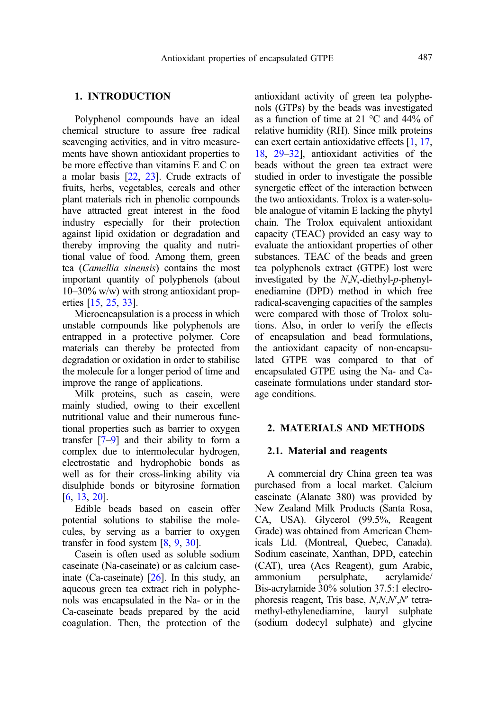#### 1. INTRODUCTION

Polyphenol compounds have an ideal chemical structure to assure free radical scavenging activities, and in vitro measurements have shown antioxidant properties to be more effective than vitamins E and C on a molar basis [\[22](#page-14-0), [23\]](#page-14-0). Crude extracts of fruits, herbs, vegetables, cereals and other plant materials rich in phenolic compounds have attracted great interest in the food industry especially for their protection against lipid oxidation or degradation and thereby improving the quality and nutritional value of food. Among them, green tea (Camellia sinensis) contains the most important quantity of polyphenols (about 10–30% w/w) with strong antioxidant properties [\[15,](#page-14-0) [25](#page-14-0), [33\]](#page-14-0).

Microencapsulation is a process in which unstable compounds like polyphenols are entrapped in a protective polymer. Core materials can thereby be protected from degradation or oxidation in order to stabilise the molecule for a longer period of time and improve the range of applications.

Milk proteins, such as casein, were mainly studied, owing to their excellent nutritional value and their numerous functional properties such as barrier to oxygen transfer [\[7](#page-13-0)–[9\]](#page-13-0) and their ability to form a complex due to intermolecular hydrogen, electrostatic and hydrophobic bonds as well as for their cross-linking ability via disulphide bonds or bityrosine formation [[6](#page-13-0), [13,](#page-14-0) [20](#page-14-0)].

Edible beads based on casein offer potential solutions to stabilise the molecules, by serving as a barrier to oxygen transfer in food system [\[8](#page-13-0), [9,](#page-13-0) [30](#page-14-0)].

Casein is often used as soluble sodium caseinate (Na-caseinate) or as calcium caseinate (Ca-caseinate)  $[26]$ . In this study, an aqueous green tea extract rich in polyphenols was encapsulated in the Na- or in the Ca-caseinate beads prepared by the acid coagulation. Then, the protection of the antioxidant activity of green tea polyphenols (GTPs) by the beads was investigated as a function of time at 21 °C and 44% of relative humidity (RH). Since milk proteins can exert certain antioxidative effects [\[1,](#page-13-0) [17](#page-14-0), [18](#page-14-0), [29](#page-14-0)–[32](#page-14-0)], antioxidant activities of the beads without the green tea extract were studied in order to investigate the possible synergetic effect of the interaction between the two antioxidants. Trolox is a water-soluble analogue of vitamin E lacking the phytyl chain. The Trolox equivalent antioxidant capacity (TEAC) provided an easy way to evaluate the antioxidant properties of other substances. TEAC of the beads and green tea polyphenols extract (GTPE) lost were investigated by the N,N,-diethyl-p-phenylenediamine (DPD) method in which free radical-scavenging capacities of the samples were compared with those of Trolox solutions. Also, in order to verify the effects of encapsulation and bead formulations, the antioxidant capacity of non-encapsulated GTPE was compared to that of encapsulated GTPE using the Na- and Cacaseinate formulations under standard storage conditions.

#### 2. MATERIALS AND METHODS

#### 2.1. Material and reagents

A commercial dry China green tea was purchased from a local market. Calcium caseinate (Alanate 380) was provided by New Zealand Milk Products (Santa Rosa, CA, USA). Glycerol (99.5%, Reagent Grade) was obtained from American Chemicals Ltd. (Montreal, Quebec, Canada). Sodium caseinate, Xanthan, DPD, catechin (CAT), urea (Acs Reagent), gum Arabic, ammonium persulphate, acrylamide/ Bis-acrylamide 30% solution 37.5:1 electrophoresis reagent, Tris base, N,N,N′,N′ tetramethyl-ethylenediamine, lauryl sulphate (sodium dodecyl sulphate) and glycine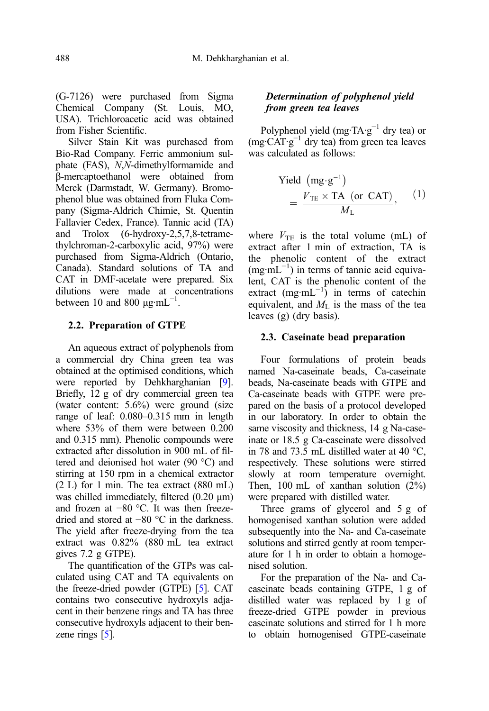(G-7126) were purchased from Sigma Chemical Company (St. Louis, MO, USA). Trichloroacetic acid was obtained from Fisher Scientific.

Silver Stain Kit was purchased from Bio-Rad Company. Ferric ammonium sulphate (FAS), N,N-dimethylformamide and β-mercaptoethanol were obtained from Merck (Darmstadt, W. Germany). Bromophenol blue was obtained from Fluka Company (Sigma-Aldrich Chimie, St. Quentin Fallavier Cedex, France). Tannic acid (TA) and Trolox (6-hydroxy-2,5,7,8-tetramethylchroman-2-carboxylic acid, 97%) were purchased from Sigma-Aldrich (Ontario, Canada). Standard solutions of TA and CAT in DMF-acetate were prepared. Six dilutions were made at concentrations between 10 and 800  $\mu$ g·mL<sup>-1</sup>.

#### 2.2. Preparation of GTPE

An aqueous extract of polyphenols from a commercial dry China green tea was obtained at the optimised conditions, which were reported by Dehkharghanian [\[9\]](#page-13-0). Briefly, 12 g of dry commercial green tea (water content: 5.6%) were ground (size range of leaf: 0.080–0.315 mm in length where 53% of them were between 0.200 and 0.315 mm). Phenolic compounds were extracted after dissolution in 900 mL of filtered and deionised hot water (90 °C) and stirring at 150 rpm in a chemical extractor (2 L) for 1 min. The tea extract (880 mL) was chilled immediately, filtered (0.20 μm) and frozen at −80 °C. It was then freezedried and stored at −80 °C in the darkness. The yield after freeze-drying from the tea extract was 0.82% (880 mL tea extract gives 7.2 g GTPE).

The quantification of the GTPs was calculated using CAT and TA equivalents on the freeze-dried powder (GTPE) [\[5](#page-13-0)]. CAT contains two consecutive hydroxyls adjacent in their benzene rings and TA has three consecutive hydroxyls adjacent to their benzene rings  $\lceil 5 \rceil$  $\lceil 5 \rceil$  $\lceil 5 \rceil$ .

#### Determination of polyphenol yield from green tea leaves

Polyphenol yield (mg·TA·g<sup>-1</sup> dry tea) or (mg·CAT·g−<sup>1</sup> dry tea) from green tea leaves was calculated as follows:

Yield (mg·g<sup>-1</sup>)  
= 
$$
\frac{V_{\text{TE}} \times \text{TA (or CAT)}}{M_{\text{L}}}
$$
, (1)

where  $V_{\text{TE}}$  is the total volume (mL) of extract after 1 min of extraction, TA is the phenolic content of the extract (mg·mL−<sup>1</sup> ) in terms of tannic acid equivalent, CAT is the phenolic content of the extract  $(mg·mL^{-1})$  in terms of catechin equivalent, and  $M_{\text{L}}$  is the mass of the tea leaves (g) (dry basis).

#### 2.3. Caseinate bead preparation

Four formulations of protein beads named Na-caseinate beads, Ca-caseinate beads, Na-caseinate beads with GTPE and Ca-caseinate beads with GTPE were prepared on the basis of a protocol developed in our laboratory. In order to obtain the same viscosity and thickness, 14 g Na-caseinate or 18.5 g Ca-caseinate were dissolved in 78 and 73.5 mL distilled water at 40 °C, respectively. These solutions were stirred slowly at room temperature overnight. Then, 100 mL of xanthan solution (2%) were prepared with distilled water.

Three grams of glycerol and 5 g of homogenised xanthan solution were added subsequently into the Na- and Ca-caseinate solutions and stirred gently at room temperature for 1 h in order to obtain a homogenised solution.

For the preparation of the Na- and Cacaseinate beads containing GTPE, 1 g of distilled water was replaced by 1 g of freeze-dried GTPE powder in previous caseinate solutions and stirred for 1 h more to obtain homogenised GTPE-caseinate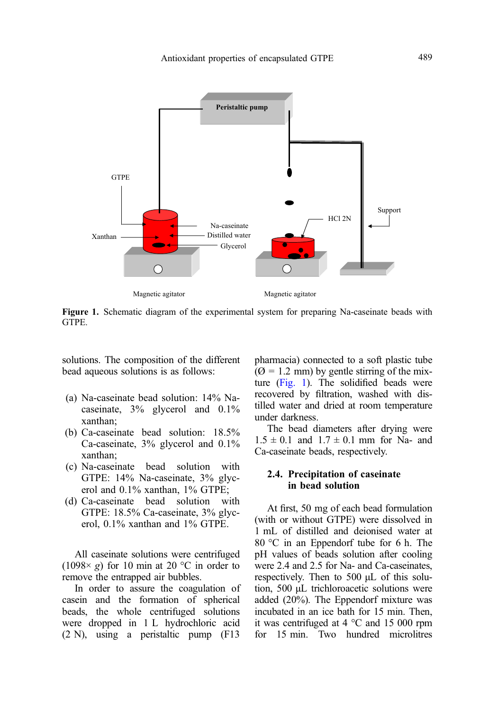

Figure 1. Schematic diagram of the experimental system for preparing Na-caseinate beads with GTPE.

solutions. The composition of the different bead aqueous solutions is as follows:

- (a) Na-caseinate bead solution: 14% Nacaseinate, 3% glycerol and 0.1% xanthan;
- (b) Ca-caseinate bead solution: 18.5% Ca-caseinate, 3% glycerol and 0.1% xanthan;
- (c) Na-caseinate bead solution with GTPE: 14% Na-caseinate, 3% glycerol and 0.1% xanthan, 1% GTPE;
- (d) Ca-caseinate bead solution with GTPE: 18.5% Ca-caseinate, 3% glycerol, 0.1% xanthan and 1% GTPE.

All caseinate solutions were centrifuged (1098 $\times$  g) for 10 min at 20 °C in order to remove the entrapped air bubbles.

In order to assure the coagulation of casein and the formation of spherical beads, the whole centrifuged solutions were dropped in 1 L hydrochloric acid (2 N), using a peristaltic pump (F13

pharmacia) connected to a soft plastic tube  $(Q = 1.2$  mm) by gentle stirring of the mixture (Fig. 1). The solidified beads were recovered by filtration, washed with distilled water and dried at room temperature under darkness.

The bead diameters after drying were  $1.5 \pm 0.1$  and  $1.7 \pm 0.1$  mm for Na- and Ca-caseinate beads, respectively.

#### 2.4. Precipitation of caseinate in bead solution

At first, 50 mg of each bead formulation (with or without GTPE) were dissolved in 1 mL of distilled and deionised water at 80 °C in an Eppendorf tube for 6 h. The pH values of beads solution after cooling were 2.4 and 2.5 for Na- and Ca-caseinates, respectively. Then to 500 μL of this solution, 500 μL trichloroacetic solutions were added (20%). The Eppendorf mixture was incubated in an ice bath for 15 min. Then, it was centrifuged at 4 °C and 15 000 rpm for 15 min. Two hundred microlitres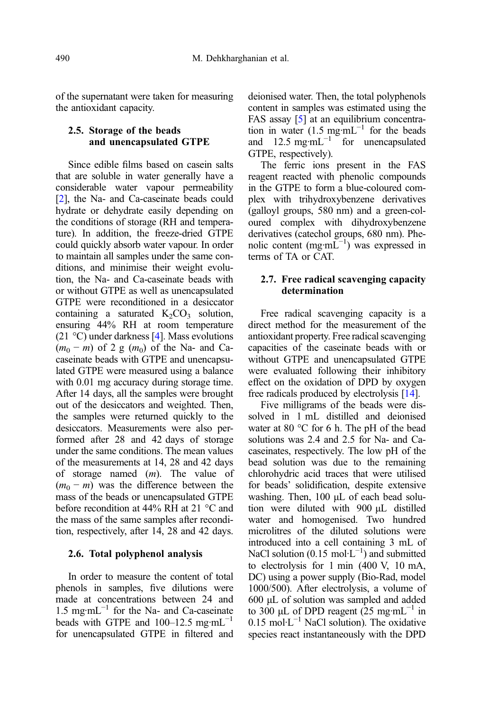of the supernatant were taken for measuring the antioxidant capacity.

#### 2.5. Storage of the beads and unencapsulated GTPE

Since edible films based on casein salts that are soluble in water generally have a considerable water vapour permeability [\[2](#page-13-0)], the Na- and Ca-caseinate beads could hydrate or dehydrate easily depending on the conditions of storage (RH and temperature). In addition, the freeze-dried GTPE could quickly absorb water vapour. In order to maintain all samples under the same conditions, and minimise their weight evolution, the Na- and Ca-caseinate beads with or without GTPE as well as unencapsulated GTPE were reconditioned in a desiccator containing a saturated  $K_2CO_3$  solution, ensuring 44% RH at room temperature (21 °C) under darkness [\[4](#page-13-0)]. Mass evolutions  $(m_0 - m)$  of 2 g  $(m_0)$  of the Na- and Cacaseinate beads with GTPE and unencapsulated GTPE were measured using a balance with  $0.01$  mg accuracy during storage time. After 14 days, all the samples were brought out of the desiccators and weighted. Then, the samples were returned quickly to the desiccators. Measurements were also performed after 28 and 42 days of storage under the same conditions. The mean values of the measurements at 14, 28 and 42 days of storage named  $(m)$ . The value of  $(m_0 - m)$  was the difference between the mass of the beads or unencapsulated GTPE before recondition at 44% RH at 21 °C and the mass of the same samples after recondition, respectively, after 14, 28 and 42 days.

#### 2.6. Total polyphenol analysis

In order to measure the content of total phenols in samples, five dilutions were made at concentrations between 24 and 1.5 mg·m $L^{-1}$  for the Na- and Ca-caseinate beads with GTPE and  $100-12.5$  mg·mL<sup>-1</sup> for unencapsulated GTPE in filtered and deionised water. Then, the total polyphenols content in samples was estimated using the FAS assay [\[5](#page-13-0)] at an equilibrium concentration in water  $(1.5 \text{ mg} \cdot \text{mL}^{-1})$  for the beads and  $12.5 \text{ me} \cdot \text{mL}^{-1}$  for unencapsulated GTPE, respectively).

The ferric ions present in the FAS reagent reacted with phenolic compounds in the GTPE to form a blue-coloured complex with trihydroxybenzene derivatives (galloyl groups, 580 nm) and a green-coloured complex with dihydroxybenzene derivatives (catechol groups, 680 nm). Phenolic content (mg·mL−<sup>1</sup> ) was expressed in terms of TA or CAT.

#### 2.7. Free radical scavenging capacity determination

Free radical scavenging capacity is a direct method for the measurement of the antioxidant property. Free radical scavenging capacities of the caseinate beads with or without GTPE and unencapsulated GTPE were evaluated following their inhibitory effect on the oxidation of DPD by oxygen free radicals produced by electrolysis [\[14\]](#page-14-0).

Five milligrams of the beads were dissolved in 1 mL distilled and deionised water at 80 °C for 6 h. The pH of the bead solutions was 2.4 and 2.5 for Na- and Cacaseinates, respectively. The low pH of the bead solution was due to the remaining chlorohydric acid traces that were utilised for beads' solidification, despite extensive washing. Then, 100 μL of each bead solution were diluted with 900 μL distilled water and homogenised. Two hundred microlitres of the diluted solutions were introduced into a cell containing 3 mL of NaCl solution (0.15 mol⋅L<sup>-1</sup>) and submitted to electrolysis for 1 min (400 V, 10 mA, DC) using a power supply (Bio-Rad, model 1000/500). After electrolysis, a volume of 600 μL of solution was sampled and added to 300 μL of DPD reagent  $(25 \text{ mg} \cdot \text{mL}^{-1})$  in  $0.15 \text{ mol} \cdot \text{L}^{-1}$  NaCl solution). The oxidative species react instantaneously with the DPD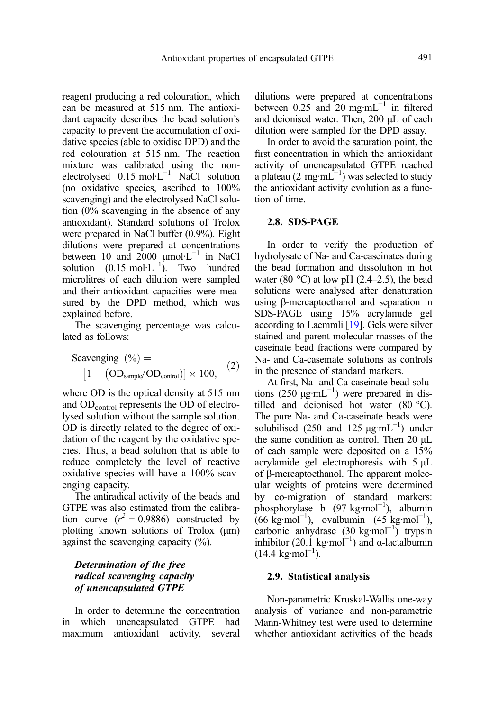reagent producing a red colouration, which can be measured at 515 nm. The antioxidant capacity describes the bead solution's capacity to prevent the accumulation of oxidative species (able to oxidise DPD) and the red colouration at 515 nm. The reaction mixture was calibrated using the nonelectrolysed  $0.15 \text{ mol·L}^{-1}$  NaCl solution (no oxidative species, ascribed to 100% scavenging) and the electrolysed NaCl solution (0% scavenging in the absence of any antioxidant). Standard solutions of Trolox were prepared in NaCl buffer (0.9%). Eight dilutions were prepared at concentrations between 10 and  $2000 \mu$ mol·L<sup>-1</sup> in NaCl solution  $(0.15 \text{ mol} \cdot \text{L}^{-1})$ . Two hundred microlitres of each dilution were sampled and their antioxidant capacities were measured by the DPD method, which was explained before.

The scavenging percentage was calculated as follows:

Scavenging 
$$
(\%)
$$
 =  
\n $[1 - (OD_{sample}/OD_{control})] \times 100,$  (2)

where OD is the optical density at 515 nm and ODcontrol represents the OD of electrolysed solution without the sample solution. OD is directly related to the degree of oxidation of the reagent by the oxidative species. Thus, a bead solution that is able to reduce completely the level of reactive oxidative species will have a 100% scavenging capacity.

The antiradical activity of the beads and GTPE was also estimated from the calibration curve  $(r^2 = 0.9886)$  constructed by<br>plotting known solutions of Trolox (um) plotting known solutions of Trolox (μm) against the scavenging capacity (%).

#### Determination of the free radical scavenging capacity of unencapsulated GTPE

In order to determine the concentration in which unencapsulated GTPE had maximum antioxidant activity, several dilutions were prepared at concentrations between 0.25 and 20 mg·mL<sup> $-1$ </sup> in filtered and deionised water. Then, 200 μL of each dilution were sampled for the DPD assay.

In order to avoid the saturation point, the first concentration in which the antioxidant activity of unencapsulated GTPE reached a plateau (2 mg·m $L^{-1}$ ) was selected to study the antioxidant activity evolution as a function of time.

#### 2.8. SDS-PAGE

In order to verify the production of hydrolysate of Na- and Ca-caseinates during the bead formation and dissolution in hot water (80  $^{\circ}$ C) at low pH (2.4–2.5), the bead solutions were analysed after denaturation using β-mercaptoethanol and separation in SDS-PAGE using 15% acrylamide gel according to Laemmli [\[19\]](#page-14-0). Gels were silver stained and parent molecular masses of the caseinate bead fractions were compared by Na- and Ca-caseinate solutions as controls in the presence of standard markers.

At first, Na- and Ca-caseinate bead solutions  $(250 \mu g \cdot mL^{-1})$  were prepared in distilled and deionised hot water (80 °C). The pure Na- and Ca-caseinate beads were solubilised (250 and 125  $\mu$ g·mL<sup>-1</sup>) under the same condition as control. Then 20 μL of each sample were deposited on a 15% acrylamide gel electrophoresis with 5 μL of β-mercaptoethanol. The apparent molecular weights of proteins were determined by co-migration of standard markers: phosphorylase b (97 kg·mol<sup>-1</sup>), albumin  $(66 \text{ kg} \cdot \text{mol}^{-1})$ , ovalbumin  $(45 \text{ kg} \cdot \text{mol}^{-1})$ , carbonic anhydrase (30 kg·mol−<sup>1</sup> ) trypsin inhibitor (20.1 kg·mol<sup>-1</sup>) and α-lactalbumin  $(14.4 \text{ kg/mol}^{-1})$ .

#### 2.9. Statistical analysis

Non-parametric Kruskal-Wallis one-way analysis of variance and non-parametric Mann-Whitney test were used to determine whether antioxidant activities of the beads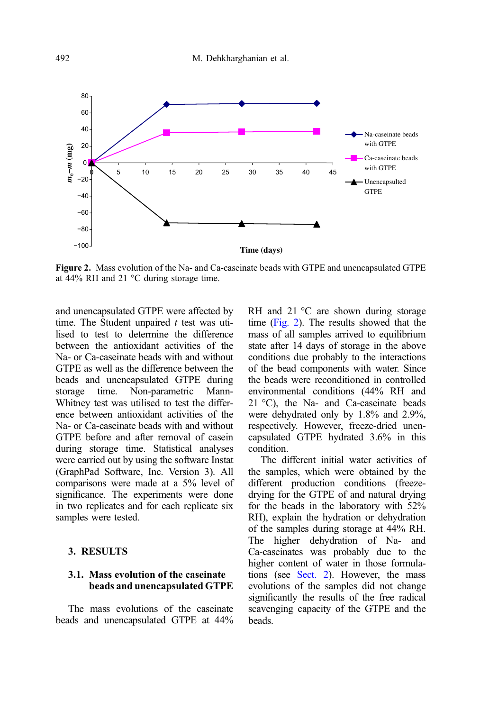

Figure 2. Mass evolution of the Na- and Ca-caseinate beads with GTPE and unencapsulated GTPE at 44% RH and 21 °C during storage time.

and unencapsulated GTPE were affected by time. The Student unpaired  $t$  test was utitime. The Student unpaired  $t$  test was uti-<br>lised to test to determine the difference between the antioxidant activities of the Na- or Ca-caseinate beads with and without GTPE as well as the difference between the beads and unencapsulated GTPE during<br>storage time. Non-parametric Mannstorage time. Non-parametric Mann-Whitney test was utilised to test the difference between antioxidant activities of the Na- or Ca-caseinate beads with and without GTPE before and after removal of casein during storage time. Statistical analyses were carried out by using the software Instat (GraphPad Software, Inc. Version 3). All comparisons were made at a 5% level of significance. The experiments were done in two replicates and for each replicate six samples were tested.

#### 3. RESULTS

### 3.1. Mass evolution of the caseinate beads and unencapsulated GTPE

The mass evolutions of the caseinate beads and unencapsulated GTPE at 44% RH and 21 °C are shown during storage time (Fig. 2). The results showed that the mass of all samples arrived to equilibrium state after 14 days of storage in the above conditions due probably to the interactions of the bead components with water. Since the beads were reconditioned in controlled environmental conditions (44% RH and 21 °C), the Na- and Ca-caseinate beads were dehydrated only by 1.8% and 2.9%, respectively. However, freeze-dried unencapsulated GTPE hydrated 3.6% in this condition.

The different initial water activities of the samples, which were obtained by the different production conditions (freezedrying for the GTPE of and natural drying for the beads in the laboratory with 52% RH), explain the hydration or dehydration of the samples during storage at 44% RH. The higher dehydration of Na- and Ca-caseinates was probably due to the higher content of water in those formulations (see Sect. 2). However, the mass evolutions of the samples did not change significantly the results of the free radical scavenging capacity of the GTPE and the beads.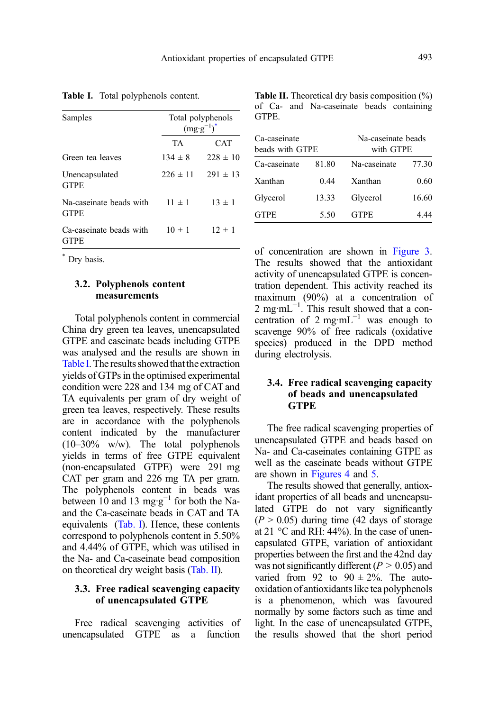| Samples                                | Total polyphenols<br>$(mg \cdot g^{-1})^*$ |              |
|----------------------------------------|--------------------------------------------|--------------|
|                                        | TA.                                        | CAT          |
| Green tea leaves                       | $134 \pm 8$                                | $228 \pm 10$ |
| Unencapsulated<br><b>GTPE</b>          | $226 \pm 11$                               | $291 \pm 13$ |
| Na-caseinate beads with<br><b>GTPE</b> | $11 \pm 1$                                 | $13 \pm 1$   |
| Ca-caseinate beads with<br><b>GTPE</b> | $10 \pm 1$                                 | $12 \pm 1$   |

<span id="page-8-0"></span>Table I. Total polyphenols content.

\* Dry basis.

#### 3.2. Polyphenols content measurements

Total polyphenols content in commercial China dry green tea leaves, unencapsulated GTPE and caseinate beads including GTPE was analysed and the results are shown in Table I. The results showed that the extraction yields of GTPs in the optimised experimental condition were 228 and 134 mg of CAT and TA equivalents per gram of dry weight of green tea leaves, respectively. These results are in accordance with the polyphenols content indicated by the manufacturer (10–30% w/w). The total polyphenols yields in terms of free GTPE equivalent (non-encapsulated GTPE) were 291 mg CAT per gram and 226 mg TA per gram. The polyphenols content in beads was between 10 and 13 mg·g−<sup>1</sup> for both the Naand the Ca-caseinate beads in CAT and TA equivalents (Tab. I). Hence, these contents correspond to polyphenols content in 5.50% and 4.44% of GTPE, which was utilised in the Na- and Ca-caseinate bead composition on theoretical dry weight basis (Tab. II).

#### 3.3. Free radical scavenging capacity of unencapsulated GTPE

Free radical scavenging activities of unencapsulated GTPE as a function

| <b>Table II.</b> Theoretical dry basis composition $(\%)$ |       |  |                                          |  |
|-----------------------------------------------------------|-------|--|------------------------------------------|--|
|                                                           |       |  | of Ca- and Na-caseinate beads containing |  |
|                                                           | GTPE. |  |                                          |  |

| Ca-caseinate<br>beads with GTPE |       | Na-caseinate beads<br>with GTPE |       |
|---------------------------------|-------|---------------------------------|-------|
| Ca-caseinate                    | 81.80 | Na-caseinate                    | 77.30 |
| Xanthan                         | 0.44  | Xanthan                         | 0.60  |
| Glycerol                        | 13.33 | Glycerol                        | 16.60 |
| <b>GTPE</b>                     | 5.50  | <b>GTPE</b>                     | 4 44  |

of concentration are shown in [Figure 3](#page-9-0). The results showed that the antioxidant activity of unencapsulated GTPE is concentration dependent. This activity reached its maximum (90%) at a concentration of 2 mg·mL<sup>-1</sup>. This result showed that a concentration of 2 mg·mL<sup> $-1$ </sup> was enough to scavenge 90% of free radicals (oxidative species) produced in the DPD method during electrolysis.

#### 3.4. Free radical scavenging capacity of beads and unencapsulated **GTPE**

The free radical scavenging properties of unencapsulated GTPE and beads based on Na- and Ca-caseinates containing GTPE as well as the caseinate beads without GTPE are shown in [Figures 4](#page-9-0) and [5](#page-10-0).

The results showed that generally, antioxidant properties of all beads and unencapsulated GTPE do not vary significantly  $(P > 0.05)$  during time (42 days of storage at 21 °C and RH: 44%). In the case of unencapsulated GTPE, variation of antioxidant properties between the first and the 42nd day was not significantly different ( $P > 0.05$ ) and varied from 92 to  $90 \pm 2\%$ . The autooxidation of antioxidants like tea polyphenols is a phenomenon, which was favoured normally by some factors such as time and light. In the case of unencapsulated GTPE, the results showed that the short period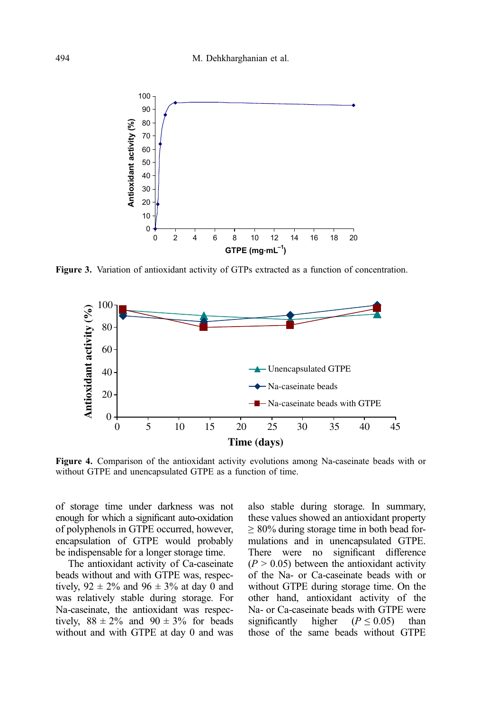<span id="page-9-0"></span>

Figure 3. Variation of antioxidant activity of GTPs extracted as a function of concentration.



Figure 4. Comparison of the antioxidant activity evolutions among Na-caseinate beads with or without GTPE and unencapsulated GTPE as a function of time.

of storage time under darkness was not enough for which a significant auto-oxidation of polyphenols in GTPE occurred, however, encapsulation of GTPE would probably be indispensable for a longer storage time.

The antioxidant activity of Ca-caseinate beads without and with GTPE was, respectively,  $92 \pm 2\%$  and  $96 \pm 3\%$  at day 0 and was relatively stable during storage. For Na-caseinate, the antioxidant was respectively,  $88 \pm 2\%$  and  $90 \pm 3\%$  for beads without and with GTPE at day 0 and was

also stable during storage. In summary, these values showed an antioxidant property  $\geq 80\%$  during storage time in both bead formulations and in unencapsulated GTPE. There were no significant difference  $(P > 0.05)$  between the antioxidant activity of the Na- or Ca-caseinate beads with or without GTPE during storage time. On the other hand, antioxidant activity of the Na- or Ca-caseinate beads with GTPE were significantly higher  $(P \le 0.05)$  than those of the same beads without GTPE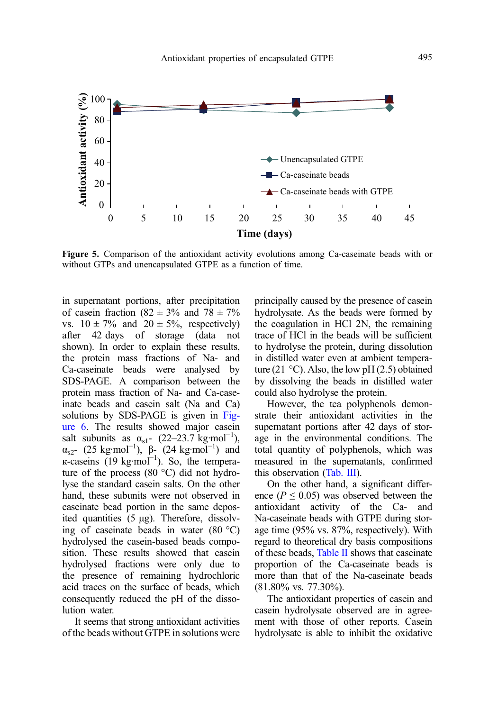<span id="page-10-0"></span>

Figure 5. Comparison of the antioxidant activity evolutions among Ca-caseinate beads with or without GTPs and unencapsulated GTPE as a function of time.

in supernatant portions, after precipitation of casein fraction (82  $\pm$  3% and 78  $\pm$  7% vs.  $10 \pm 7\%$  and  $20 \pm 5\%$ , respectively) after 42 days of storage (data not shown). In order to explain these results, the protein mass fractions of Na- and Ca-caseinate beads were analysed by SDS-PAGE. A comparison between the protein mass fraction of Na- and Ca-caseinate beads and casein salt (Na and Ca) solutions by SDS-PAGE is given in [Fig](#page-11-0)[ure 6](#page-11-0). The results showed major casein salt subunits as  $\alpha_{s1}$ - (22–23.7 kg·mol<sup>-1</sup>), α<sub>s2</sub>- (25 kg·mol<sup>-1</sup>),  $\beta$ - (24 kg·mol<sup>-1</sup>) and к-caseins (19 kg·mol<sup>-1</sup>). So, the temperature of the process (80 °C) did not hydrolyse the standard casein salts. On the other hand, these subunits were not observed in caseinate bead portion in the same deposited quantities (5 μg). Therefore, dissolving of caseinate beads in water (80 °C) hydrolysed the casein-based beads composition. These results showed that casein hydrolysed fractions were only due to the presence of remaining hydrochloric acid traces on the surface of beads, which consequently reduced the pH of the dissolution water.

It seems that strong antioxidant activities of the beads without GTPE in solutions were principally caused by the presence of casein hydrolysate. As the beads were formed by the coagulation in HCl 2N, the remaining trace of HCl in the beads will be sufficient to hydrolyse the protein, during dissolution in distilled water even at ambient temperature (21  $\degree$ C). Also, the low pH (2.5) obtained by dissolving the beads in distilled water could also hydrolyse the protein.

However, the tea polyphenols demonstrate their antioxidant activities in the supernatant portions after 42 days of storage in the environmental conditions. The total quantity of polyphenols, which was measured in the supernatants, confirmed this observation ([Tab. III](#page-11-0)).

On the other hand, a significant difference ( $P \le 0.05$ ) was observed between the antioxidant activity of the Ca- and antioxidant activity of the Ca-Na-caseinate beads with GTPE during storage time (95% vs. 87%, respectively). With regard to theoretical dry basis compositions of these beads, [Table II](#page-8-0) shows that caseinate proportion of the Ca-caseinate beads is more than that of the Na-caseinate beads (81.80% vs. 77.30%).

The antioxidant properties of casein and casein hydrolysate observed are in agreement with those of other reports. Casein hydrolysate is able to inhibit the oxidative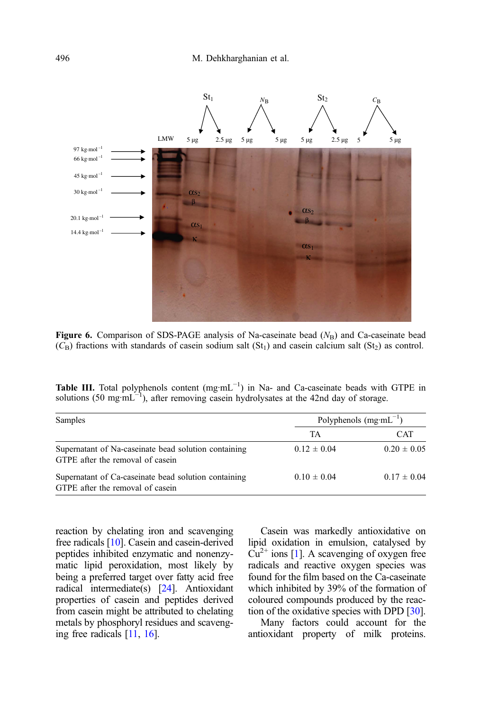<span id="page-11-0"></span>

Figure 6. Comparison of SDS-PAGE analysis of Na-caseinate bead  $(N_B)$  and Ca-caseinate bead  $(C_{\rm B})$  fractions with standards of casein sodium salt  $(St_1)$  and casein calcium salt  $(St_2)$  as control.

| <b>Table III.</b> Total polyphenols content $(mg \cdot mL^{-1})$ in Na- and Ca-caseinate beads with GTPE in |  |
|-------------------------------------------------------------------------------------------------------------|--|
| solutions (50 mg·mL <sup>-1</sup> ), after removing casein hydrolysates at the 42nd day of storage.         |  |

| Samples                                                                                  | Polyphenols $(mg·mL^{-1})$ |                 |
|------------------------------------------------------------------------------------------|----------------------------|-----------------|
|                                                                                          | TA                         | <b>CAT</b>      |
| Supernatant of Na-caseinate bead solution containing<br>GTPE after the removal of casein | $0.12 \pm 0.04$            | $0.20 \pm 0.05$ |
| Supernatant of Ca-caseinate bead solution containing<br>GTPE after the removal of casein | $0.10 \pm 0.04$            | $0.17 \pm 0.04$ |

reaction by chelating iron and scavenging free radicals [\[10\]](#page-14-0). Casein and casein-derived peptides inhibited enzymatic and nonenzymatic lipid peroxidation, most likely by being a preferred target over fatty acid free radical intermediate(s) [[24](#page-14-0)]. Antioxidant properties of casein and peptides derived from casein might be attributed to chelating metals by phosphoryl residues and scavenging free radicals [[11](#page-14-0), [16](#page-14-0)].

Casein was markedly antioxidative on lipid oxidation in emulsion, catalysed by  $Cu^{2+}$  ions [\[1](#page-13-0)]. A scavenging of oxygen free radicals and reactive oxygen species was found for the film based on the Ca-caseinate which inhibited by 39% of the formation of coloured compounds produced by the reaction of the oxidative species with DPD [\[30](#page-14-0)].

Many factors could account for the antioxidant property of milk proteins.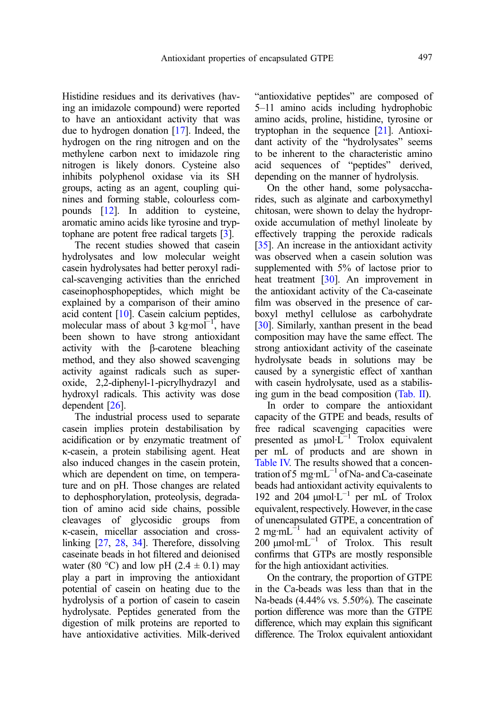Histidine residues and its derivatives (having an imidazole compound) were reported to have an antioxidant activity that was due to hydrogen donation [\[17](#page-14-0)]. Indeed, the hydrogen on the ring nitrogen and on the methylene carbon next to imidazole ring nitrogen is likely donors. Cysteine also inhibits polyphenol oxidase via its SH groups, acting as an agent, coupling quinines and forming stable, colourless compounds [\[12\]](#page-14-0). In addition to cysteine, aromatic amino acids like tyrosine and tryptophane are potent free radical targets [[3\]](#page-13-0).

The recent studies showed that casein hydrolysates and low molecular weight casein hydrolysates had better peroxyl radical-scavenging activities than the enriched caseinophosphopeptides, which might be explained by a comparison of their amino acid content [\[10](#page-14-0)]. Casein calcium peptides, molecular mass of about 3 kg·mol<sup>-1</sup>, have been shown to have strong antioxidant activity with the β-carotene bleaching method, and they also showed scavenging activity against radicals such as superoxide, 2,2-diphenyl-1-picrylhydrazyl and hydroxyl radicals. This activity was dose dependent [\[26](#page-14-0)].

The industrial process used to separate casein implies protein destabilisation by acidification or by enzymatic treatment of κ-casein, a protein stabilising agent. Heat also induced changes in the casein protein, which are dependent on time, on temperature and on pH. Those changes are related to dephosphorylation, proteolysis, degradation of amino acid side chains, possible cleavages of glycosidic groups from κ-casein, micellar association and crosslinking [\[27,](#page-14-0) [28,](#page-14-0) [34](#page-14-0)]. Therefore, dissolving caseinate beads in hot filtered and deionised water (80 °C) and low pH (2.4  $\pm$  0.1) may play a part in improving the antioxidant potential of casein on heating due to the hydrolysis of a portion of casein to casein hydrolysate. Peptides generated from the digestion of milk proteins are reported to have antioxidative activities. Milk-derived "antioxidative peptides" are composed of 5–11 amino acids including hydrophobic amino acids, proline, histidine, tyrosine or tryptophan in the sequence [[21](#page-14-0)]. Antioxidant activity of the "hydrolysates" seems to be inherent to the characteristic amino acid sequences of "peptides" derived, depending on the manner of hydrolysis.

On the other hand, some polysaccharides, such as alginate and carboxymethyl chitosan, were shown to delay the hydroproxide accumulation of methyl linoleate by effectively trapping the peroxide radicals [[35\]](#page-14-0). An increase in the antioxidant activity was observed when a casein solution was supplemented with 5% of lactose prior to heat treatment [\[30](#page-14-0)]. An improvement in the antioxidant activity of the Ca-caseinate film was observed in the presence of carboxyl methyl cellulose as carbohydrate [[30\]](#page-14-0). Similarly, xanthan present in the bead composition may have the same effect. The strong antioxidant activity of the caseinate hydrolysate beads in solutions may be caused by a synergistic effect of xanthan with casein hydrolysate, used as a stabilising gum in the bead composition [\(Tab. II](#page-8-0)).

In order to compare the antioxidant capacity of the GTPE and beads, results of free radical scavenging capacities were presented as <sup>μ</sup>mol·L−<sup>1</sup> Trolox equivalent per mL of products and are shown in [Table IV.](#page-13-0) The results showed that a concentration of 5 mg·mL $^{-1}$  of Na- and Ca-caseinate beads had antioxidant activity equivalents to 192 and 204 μmol·L<sup>-1</sup> per mL of Trolox equivalent, respectively. However, in the case of unencapsulated GTPE, a concentration of 2 mg·m $L^{-1}$  had an equivalent activity of 200  $\mu$ mol·m $L^{-1}$  of Trolox. This result confirms that GTPs are mostly responsible for the high antioxidant activities.

On the contrary, the proportion of GTPE in the Ca-beads was less than that in the Na-beads (4.44% vs. 5.50%). The caseinate portion difference was more than the GTPE difference, which may explain this significant difference. The Trolox equivalent antioxidant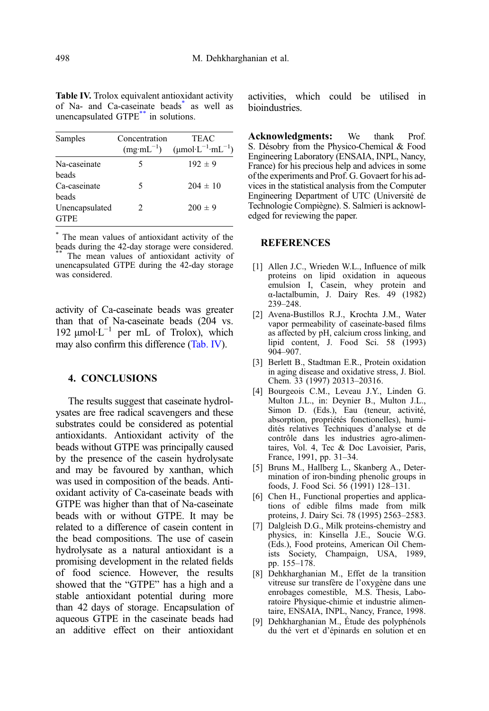| Samples                                | Concentration<br>$(mg·mL^{-1})$ | <b>TEAC</b><br>$(\mu \text{mol} \cdot \text{L}^{-1} \cdot \text{mL}^{-1})$ |
|----------------------------------------|---------------------------------|----------------------------------------------------------------------------|
| Na-caseinate<br>heads                  | 5                               | $192 \pm 9$                                                                |
| Ca-caseinate                           | 5                               | $204 \pm 10$                                                               |
| beads<br>Unencapsulated<br><b>GTPE</b> | 2                               | $200 \pm 9$                                                                |

<span id="page-13-0"></span>Table IV. Trolox equivalent antioxidant activity of Na- and Ca-caseinate beads<sup>\*</sup> as well as unencapsulated GTPE\*\* in solutions.

\* The mean values of antioxidant activity of the beads during the 42-day storage were considered. The mean values of antioxidant activity of unencapsulated GTPE during the 42-day storage was considered.

activity of Ca-caseinate beads was greater than that of Na-caseinate beads (204 vs. 192  $\mu$ mol·L<sup>-1</sup> per mL of Trolox), which may also confirm this difference (Tab. IV).

#### 4. CONCLUSIONS

The results suggest that caseinate hydrolysates are free radical scavengers and these substrates could be considered as potential antioxidants. Antioxidant activity of the beads without GTPE was principally caused by the presence of the casein hydrolysate and may be favoured by xanthan, which was used in composition of the beads. Antioxidant activity of Ca-caseinate beads with GTPE was higher than that of Na-caseinate beads with or without GTPE. It may be related to a difference of casein content in the bead compositions. The use of casein hydrolysate as a natural antioxidant is a promising development in the related fields of food science. However, the results showed that the "GTPE" has a high and a stable antioxidant potential during more than 42 days of storage. Encapsulation of aqueous GTPE in the caseinate beads had an additive effect on their antioxidant activities, which could be utilised in bioindustries.

Acknowledgments: We thank Prof. S. Désobry from the Physico-Chemical & Food Engineering Laboratory (ENSAIA, INPL, Nancy, France) for his precious help and advices in some of the experiments and Prof. G. Govaert for his advices in the statistical analysis from the Computer Engineering Department of UTC (Université de Technologie Compiègne). S. Salmieri is acknowledged for reviewing the paper.

#### REFERENCES

- [1] Allen J.C., Wrieden W.L., Influence of milk proteins on lipid oxidation in aqueous emulsion I, Casein, whey protein and α-lactalbumin, J. Dairy Res. 49 (1982) 239–248.
- [2] Avena-Bustillos R.J., Krochta J.M., Water vapor permeability of caseinate-based films as affected by pH, calcium cross linking, and lipid content, J. Food Sci. 58 (1993) 904–907.
- [3] Berlett B., Stadtman E.R., Protein oxidation in aging disease and oxidative stress, J. Biol. Chem. 33 (1997) 20313–20316.
- [4] Bourgeois C.M., Leveau J.Y., Linden G. Multon J.L., in: Deynier B., Multon J.L., Simon D. (Eds.), Eau (teneur, activité, absorption, propriétés fonctionelles), humidités relatives Techniques d'analyse et de contrôle dans les industries agro-alimentaires, Vol. 4, Tec & Doc Lavoisier, Paris, France, 1991, pp. 31–34.
- [5] Bruns M., Hallberg L., Skanberg A., Determination of iron-binding phenolic groups in foods, J. Food Sci. 56 (1991) 128–131.
- [6] Chen H., Functional properties and applications of edible films made from milk proteins, J. Dairy Sci. 78 (1995) 2563–2583.
- [7] Dalgleish D.G., Milk proteins-chemistry and physics, in: Kinsella J.E., Soucie W.G. (Eds.), Food proteins, American Oil Chemists Society, Champaign, USA, 1989, pp. 155–178.
- [8] Dehkharghanian M., Effet de la transition vitreuse sur transfère de l'oxygène dans une enrobages comestible, M.S. Thesis, Laboratoire Physique-chimie et industrie alimentaire, ENSAIA, INPL, Nancy, France, 1998.
- [9] Dehkharghanian M., Étude des polyphénols du thé vert et d'épinards en solution et en